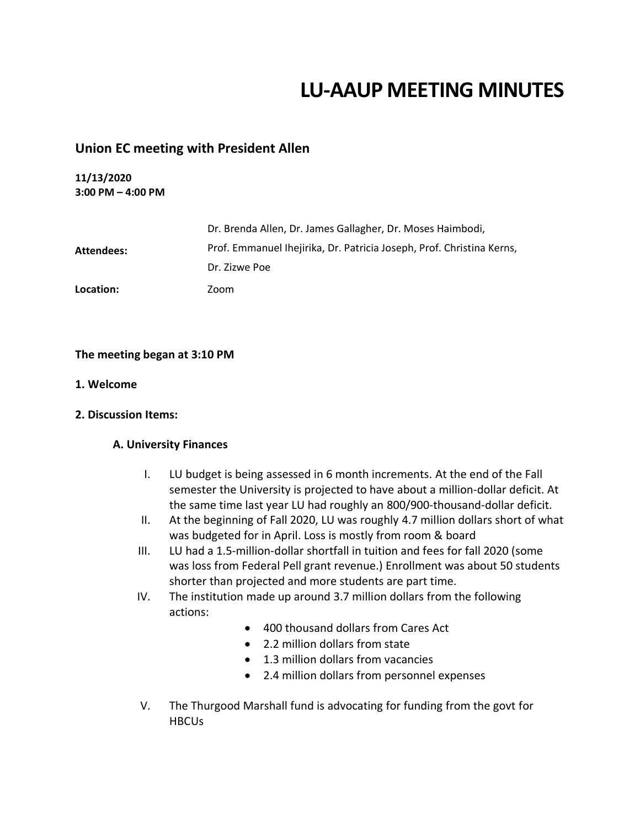# **LU-AAUP MEETING MINUTES**

## **Union EC meeting with President Allen**

### **11/13/2020 3:00 PM – 4:00 PM**

|            | Dr. Brenda Allen, Dr. James Gallagher, Dr. Moses Haimbodi,            |
|------------|-----------------------------------------------------------------------|
| Attendees: | Prof. Emmanuel Ihejirika, Dr. Patricia Joseph, Prof. Christina Kerns, |
|            | Dr. Zizwe Poe                                                         |
| Location:  | Zoom                                                                  |

## **The meeting began at 3:10 PM**

- **1. Welcome**
- **2. Discussion Items:**

#### **A. University Finances**

- I. LU budget is being assessed in 6 month increments. At the end of the Fall semester the University is projected to have about a million-dollar deficit. At the same time last year LU had roughly an 800/900-thousand-dollar deficit.
- II. At the beginning of Fall 2020, LU was roughly 4.7 million dollars short of what was budgeted for in April. Loss is mostly from room & board
- III. LU had a 1.5-million-dollar shortfall in tuition and fees for fall 2020 (some was loss from Federal Pell grant revenue.) Enrollment was about 50 students shorter than projected and more students are part time.
- IV. The institution made up around 3.7 million dollars from the following actions:
	- 400 thousand dollars from Cares Act
	- 2.2 million dollars from state
	- 1.3 million dollars from vacancies
	- 2.4 million dollars from personnel expenses
- V. The Thurgood Marshall fund is advocating for funding from the govt for **HBCUs**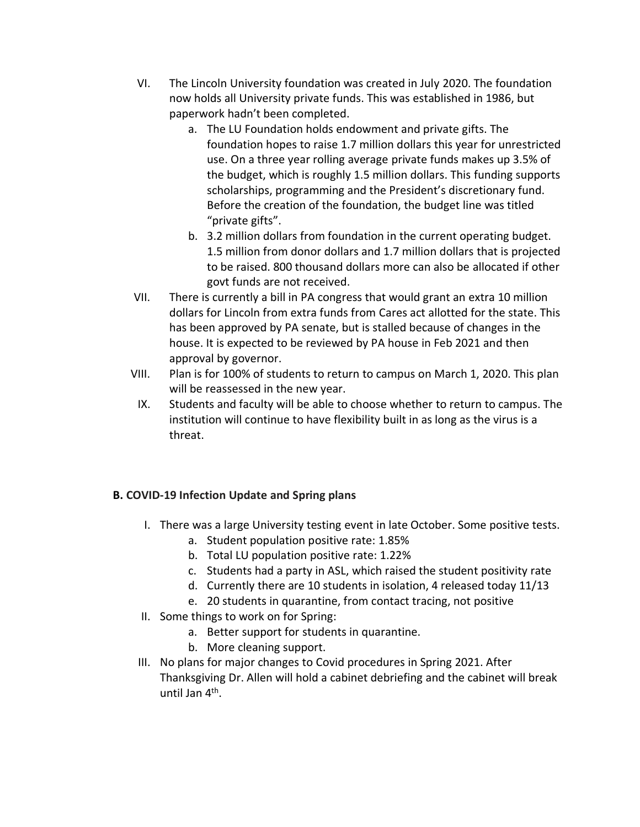- VI. The Lincoln University foundation was created in July 2020. The foundation now holds all University private funds. This was established in 1986, but paperwork hadn't been completed.
	- a. The LU Foundation holds endowment and private gifts. The foundation hopes to raise 1.7 million dollars this year for unrestricted use. On a three year rolling average private funds makes up 3.5% of the budget, which is roughly 1.5 million dollars. This funding supports scholarships, programming and the President's discretionary fund. Before the creation of the foundation, the budget line was titled "private gifts".
	- b. 3.2 million dollars from foundation in the current operating budget. 1.5 million from donor dollars and 1.7 million dollars that is projected to be raised. 800 thousand dollars more can also be allocated if other govt funds are not received.
- VII. There is currently a bill in PA congress that would grant an extra 10 million dollars for Lincoln from extra funds from Cares act allotted for the state. This has been approved by PA senate, but is stalled because of changes in the house. It is expected to be reviewed by PA house in Feb 2021 and then approval by governor.
- VIII. Plan is for 100% of students to return to campus on March 1, 2020. This plan will be reassessed in the new year.
	- IX. Students and faculty will be able to choose whether to return to campus. The institution will continue to have flexibility built in as long as the virus is a threat.

# **B. COVID-19 Infection Update and Spring plans**

- I. There was a large University testing event in late October. Some positive tests.
	- a. Student population positive rate: 1.85%
	- b. Total LU population positive rate: 1.22%
	- c. Students had a party in ASL, which raised the student positivity rate
	- d. Currently there are 10 students in isolation, 4 released today 11/13
	- e. 20 students in quarantine, from contact tracing, not positive
- II. Some things to work on for Spring:
	- a. Better support for students in quarantine.
	- b. More cleaning support.
- III. No plans for major changes to Covid procedures in Spring 2021. After Thanksgiving Dr. Allen will hold a cabinet debriefing and the cabinet will break until Jan 4<sup>th</sup>.